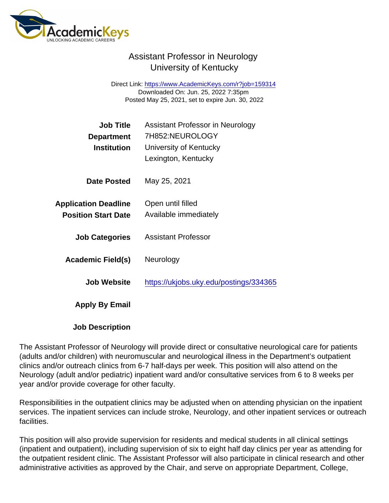## Assistant Professor in Neurology University of Kentucky

Direct Link: <https://www.AcademicKeys.com/r?job=159314> Downloaded On: Jun. 25, 2022 7:35pm Posted May 25, 2021, set to expire Jun. 30, 2022

| <b>Job Title</b>            | Assistant Professor in Neurology<br>7H852:NEUROLOGY |
|-----------------------------|-----------------------------------------------------|
| Department<br>Institution   | University of Kentucky                              |
|                             | Lexington, Kentucky                                 |
| Date Posted                 | May 25, 2021                                        |
| <b>Application Deadline</b> | Open until filled                                   |
| <b>Position Start Date</b>  | Available immediately                               |
| <b>Job Categories</b>       | <b>Assistant Professor</b>                          |
| Academic Field(s)           | Neurology                                           |
| Job Website                 | https://ukjobs.uky.edu/postings/334365              |
| Apply By Email              |                                                     |
|                             |                                                     |

Job Description

The Assistant Professor of Neurology will provide direct or consultative neurological care for patients (adults and/or children) with neuromuscular and neurological illness in the Department's outpatient clinics and/or outreach clinics from 6-7 half-days per week. This position will also attend on the Neurology (adult and/or pediatric) inpatient ward and/or consultative services from 6 to 8 weeks per year and/or provide coverage for other faculty.

Responsibilities in the outpatient clinics may be adjusted when on attending physician on the inpatient services. The inpatient services can include stroke, Neurology, and other inpatient services or outreach facilities.

This position will also provide supervision for residents and medical students in all clinical settings (inpatient and outpatient), including supervision of six to eight half day clinics per year as attending for the outpatient resident clinic. The Assistant Professor will also participate in clinical research and other administrative activities as approved by the Chair, and serve on appropriate Department, College,